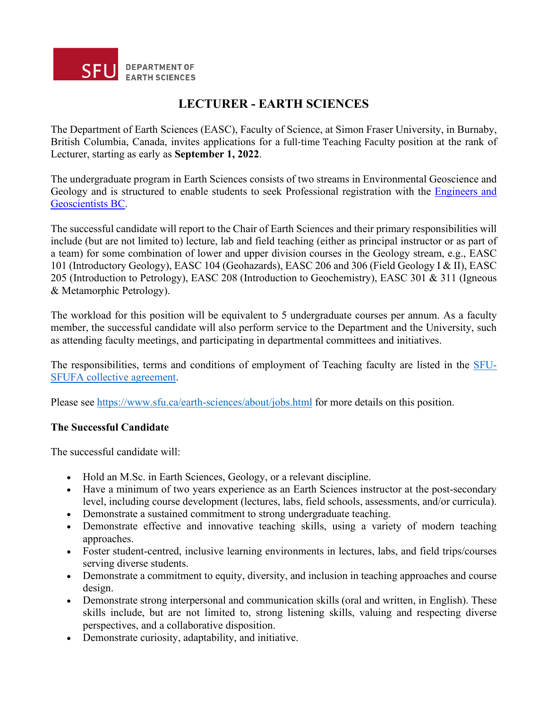

# **LECTURER - EARTH SCIENCES**

The Department of Earth Sciences (EASC), Faculty of Science, at Simon Fraser University, in Burnaby, British Columbia, Canada, invites applications for a full-time Teaching Faculty position at the rank of Lecturer, starting as early as **September 1, 2022**.

The undergraduate program in Earth Sciences consists of two streams in Environmental Geoscience and Geology and is structured to enable students to seek Professional registration with the Engineers and Geoscientists BC.

The successful candidate will report to the Chair of Earth Sciences and their primary responsibilities will include (but are not limited to) lecture, lab and field teaching (either as principal instructor or as part of a team) for some combination of lower and upper division courses in the Geology stream, e.g., EASC 101 (Introductory Geology), EASC 104 (Geohazards), EASC 206 and 306 (Field Geology I & II), EASC 205 (Introduction to Petrology), EASC 208 (Introduction to Geochemistry), EASC 301 & 311 (Igneous & Metamorphic Petrology).

The workload for this position will be equivalent to 5 undergraduate courses per annum. As a faculty member, the successful candidate will also perform service to the Department and the University, such as attending faculty meetings, and participating in departmental committees and initiatives.

The responsibilities, terms and conditions of employment of Teaching faculty are listed in the SFU-SFUFA collective agreement.

Please see https://www.sfu.ca/earth-sciences/about/jobs.html for more details on this position.

#### **The Successful Candidate**

The successful candidate will:

- Hold an M.Sc. in Earth Sciences, Geology, or a relevant discipline.
- Have a minimum of two years experience as an Earth Sciences instructor at the post-secondary level, including course development (lectures, labs, field schools, assessments, and/or curricula).
- Demonstrate a sustained commitment to strong undergraduate teaching.
- Demonstrate effective and innovative teaching skills, using a variety of modern teaching approaches.
- Foster student-centred, inclusive learning environments in lectures, labs, and field trips/courses serving diverse students.
- Demonstrate a commitment to equity, diversity, and inclusion in teaching approaches and course design.
- Demonstrate strong interpersonal and communication skills (oral and written, in English). These skills include, but are not limited to, strong listening skills, valuing and respecting diverse perspectives, and a collaborative disposition.
- Demonstrate curiosity, adaptability, and initiative.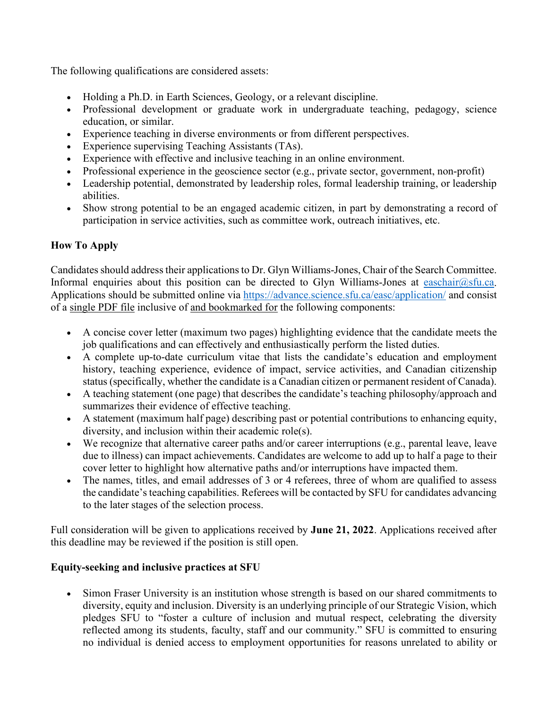The following qualifications are considered assets:

- Holding a Ph.D. in Earth Sciences, Geology, or a relevant discipline.
- Professional development or graduate work in undergraduate teaching, pedagogy, science education, or similar.
- Experience teaching in diverse environments or from different perspectives.
- Experience supervising Teaching Assistants (TAs).
- Experience with effective and inclusive teaching in an online environment.
- Professional experience in the geoscience sector (e.g., private sector, government, non-profit)
- Leadership potential, demonstrated by leadership roles, formal leadership training, or leadership abilities.
- Show strong potential to be an engaged academic citizen, in part by demonstrating a record of participation in service activities, such as committee work, outreach initiatives, etc.

# **How To Apply**

Candidates should address their applications to Dr. Glyn Williams-Jones, Chair of the Search Committee. Informal enquiries about this position can be directed to Glyn Williams-Jones at [easchair@sfu.ca.](mailto:easchair@sfu.ca) Applications should be submitted online via<https://advance.science.sfu.ca/easc/application/>and consist of a single PDF file inclusive of and bookmarked for the following components:

- A concise cover letter (maximum two pages) highlighting evidence that the candidate meets the job qualifications and can effectively and enthusiastically perform the listed duties.
- A complete up-to-date curriculum vitae that lists the candidate's education and employment history, teaching experience, evidence of impact, service activities, and Canadian citizenship status (specifically, whether the candidate is a Canadian citizen or permanent resident of Canada).
- A teaching statement (one page) that describes the candidate's teaching philosophy/approach and summarizes their evidence of effective teaching.
- A statement (maximum half page) describing past or potential contributions to enhancing equity, diversity, and inclusion within their academic role(s).
- We recognize that alternative career paths and/or career interruptions (e.g., parental leave, leave due to illness) can impact achievements. Candidates are welcome to add up to half a page to their cover letter to highlight how alternative paths and/or interruptions have impacted them.
- The names, titles, and email addresses of 3 or 4 referees, three of whom are qualified to assess the candidate's teaching capabilities. Referees will be contacted by SFU for candidates advancing to the later stages of the selection process.

Full consideration will be given to applications received by **June 21, 2022**. Applications received after this deadline may be reviewed if the position is still open.

## **Equity-seeking and inclusive practices at SFU**

• Simon Fraser University is an institution whose strength is based on our shared commitments to diversity, equity and inclusion. Diversity is an underlying principle of our Strategic Vision, which pledges SFU to "foster a culture of inclusion and mutual respect, celebrating the diversity reflected among its students, faculty, staff and our community." SFU is committed to ensuring no individual is denied access to employment opportunities for reasons unrelated to ability or